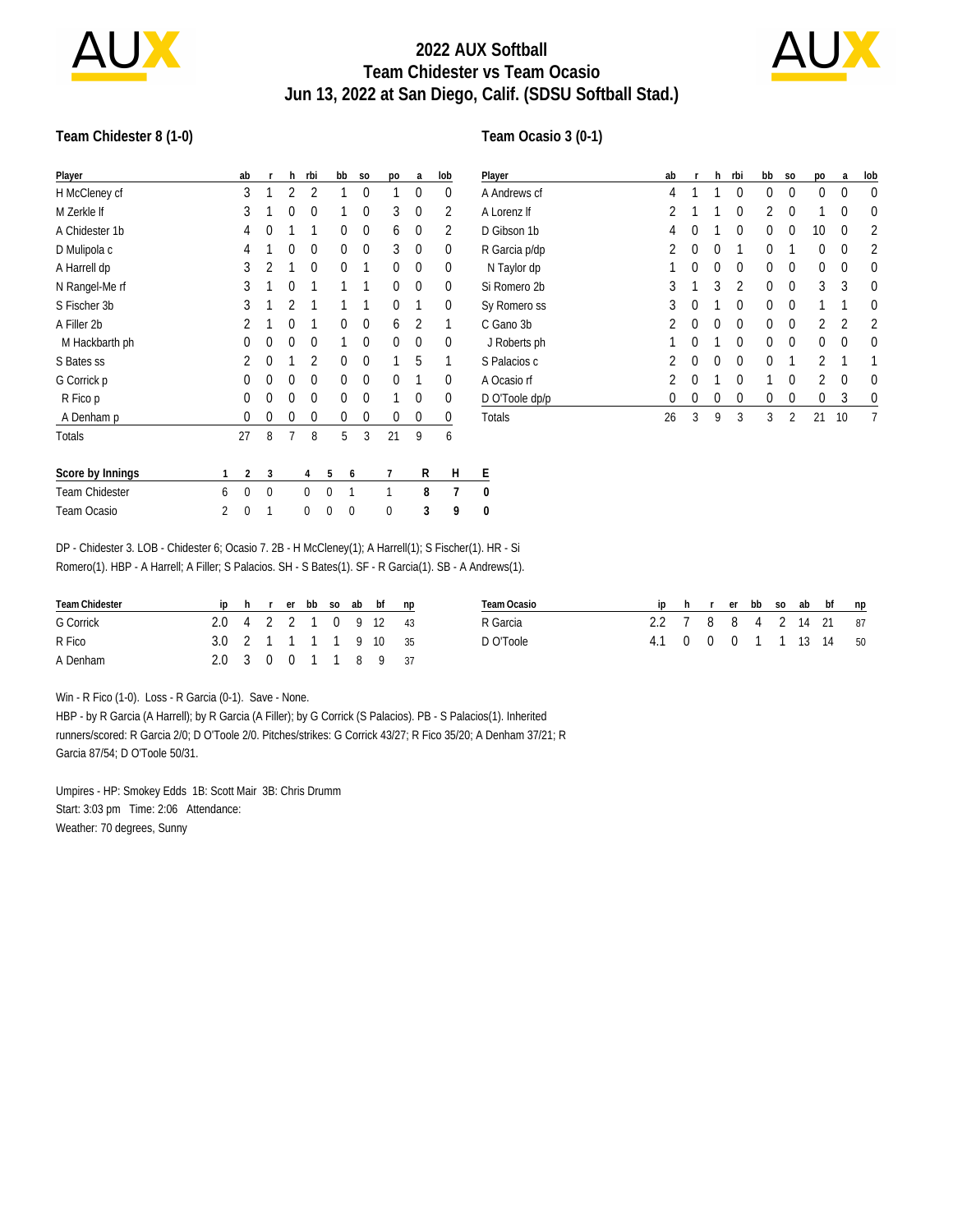

## **2022 AUX Softball Team Chidester vs Team Ocasio Jun 13, 2022 at San Diego, Calif. (SDSU Softball Stad.)**



#### **Team Chidester 8 (1-0)**

#### **Team Ocasio 3 (0-1)**

| Player                |   | ab | r              | h              | rbi | bb | S <sub>O</sub> | po | a | lob | $\overline{P}$ |
|-----------------------|---|----|----------------|----------------|-----|----|----------------|----|---|-----|----------------|
| H McCleney cf         |   | 3  | 1              | 2              | 2   | 1  | 0              | 1  | 0 | 0   | Α              |
| M Zerkle If           |   | 3  | 1              | 0              | 0   | 1  | 0              | 3  | 0 | 2   | Α              |
| A Chidester 1b        |   | 4  | $\theta$       | 1              | 1   | 0  | 0              | 6  | 0 | 2   | D              |
| D Mulipola c          |   | 4  | 1              | 0              | 0   | 0  | 0              | 3  | 0 | 0   | R              |
| A Harrell dp          |   | 3  | $\overline{2}$ | 1              | 0   | 0  | 1              | 0  | 0 | 0   |                |
| N Rangel-Me rf        |   | 3  | 1              | $\Omega$       | 1   | 1  | 1              | 0  | 0 | 0   | S              |
| S Fischer 3b          |   | 3  |                | $\overline{2}$ | 1   | 1  | 1              | 0  | 1 | 0   | S              |
| A Filler 2b           |   | 2  | 1              | 0              | 1   | 0  | 0              | 6  | 2 | 1   | С              |
| M Hackbarth ph        |   | 0  | $\theta$       | 0              | 0   | 1  | 0              | 0  | 0 | 0   |                |
| S Bates ss            |   | 2  | $\theta$       | 1              | 2   | 0  | 0              | 1  | 5 | 1   | S              |
| G Corrick p           |   | 0  | $\theta$       | 0              | 0   | 0  | 0              | 0  | 1 | 0   | Α              |
| R Fico p              |   | 0  | $\theta$       | 0              | 0   | 0  | 0              | 1  | 0 | 0   | $\overline{D}$ |
| A Denham p            |   | 0  | 0              | 0              | 0   | 0  | 0              | 0  | 0 | 0   | T              |
| <b>Totals</b>         |   | 27 | 8              | 7              | 8   | 5  | 3              | 21 | 9 | 6   |                |
| Score by Innings      | 1 | 2  | 3              |                | 4   | 5  | 6              | 7  | R | Н   | E              |
| <b>Team Chidester</b> | 6 | 0  | 0              |                | 0   | 0  | 1              | 1  | 8 | 7   | 0              |
| Team Ocasio           | 2 | 0  | 1              |                | 0   | 0  | 0              | 0  | 3 | 9   | 0              |

| Player         | ab       | r        | h | rbi            | bb | S <sub>O</sub> | po             | a  | lob      |
|----------------|----------|----------|---|----------------|----|----------------|----------------|----|----------|
| A Andrews cf   | 4        | 1        | 1 | 0              | 0  | $\theta$       | 0              | 0  | $\theta$ |
| A Lorenz If    | 2        | 1        | 1 | 0              | 2  | $\Omega$       | 1              | 0  | 0        |
| D Gibson 1b    | 4        | $\Omega$ | 1 | 0              | 0  | 0              | 10             | 0  | 2        |
| R Garcia p/dp  | 2        | $\Omega$ | 0 | 1              | 0  | 1              | 0              | 0  | 2        |
| N Taylor dp    | 1        | $\Omega$ | 0 | $\Omega$       | 0  | $\theta$       | 0              | 0  | 0        |
| Si Romero 2b   | 3        | 1        | 3 | $\overline{2}$ | 0  | 0              | 3              | 3  | 0        |
| Sy Romero ss   | 3        | $\Omega$ | 1 | $\Omega$       | 0  | $\theta$       | 1              | 1  | 0        |
| C Gano 3b      | 2        | $\Omega$ | 0 | 0              | 0  | $\theta$       | 2              | 2  | 2        |
| J Roberts ph   | 1        | $\Omega$ | 1 | $\Omega$       | 0  | 0              | 0              | 0  | 0        |
| S Palacios c   | 2        | $\Omega$ | 0 | 0              | 0  | 1              | 2              | 1  |          |
| A Ocasio rf    | 2        | $\Omega$ | 1 | 0              | 1  | 0              | $\mathfrak{p}$ | 0  | 0        |
| D O'Toole dp/p | $\Omega$ | 0        | 0 | 0              | 0  | 0              | 0              | 3  | 0        |
| Totals         | 26       | 3        | 9 | 3              | 3  | 2              | 21             | 10 |          |

DP - Chidester 3. LOB - Chidester 6; Ocasio 7. 2B - H McCleney(1); A Harrell(1); S Fischer(1). HR - Si Romero(1). HBP - A Harrell; A Filler; S Palacios. SH - S Bates(1). SF - R Garcia(1). SB - A Andrews(1).

| Team Chidester |                       |  |  |  | ip h r er bb so ab bf np | Team Ocasio |                        |  |  |  | ip h r er bb so ab bf np |  |
|----------------|-----------------------|--|--|--|--------------------------|-------------|------------------------|--|--|--|--------------------------|--|
| G Corrick      | 2.0 4 2 2 1 0 9 12 43 |  |  |  |                          | R Garcia    | 2.2 7 8 8 4 2 14 21 87 |  |  |  |                          |  |
| R Fico         | 3.0 2 1 1 1 1 9 10 35 |  |  |  |                          | D O'Toole   | 4.1 0 0 0 1 1 13 14 50 |  |  |  |                          |  |
| A Denham       | 2.0 3 0 0 1 1 8 9 37  |  |  |  |                          |             |                        |  |  |  |                          |  |

Win - R Fico (1-0). Loss - R Garcia (0-1). Save - None.

HBP - by R Garcia (A Harrell); by R Garcia (A Filler); by G Corrick (S Palacios). PB - S Palacios(1). Inherited runners/scored: R Garcia 2/0; D O'Toole 2/0. Pitches/strikes: G Corrick 43/27; R Fico 35/20; A Denham 37/21; R Garcia 87/54; D O'Toole 50/31.

Umpires - HP: Smokey Edds 1B: Scott Mair 3B: Chris Drumm Start: 3:03 pm Time: 2:06 Attendance: Weather: 70 degrees, Sunny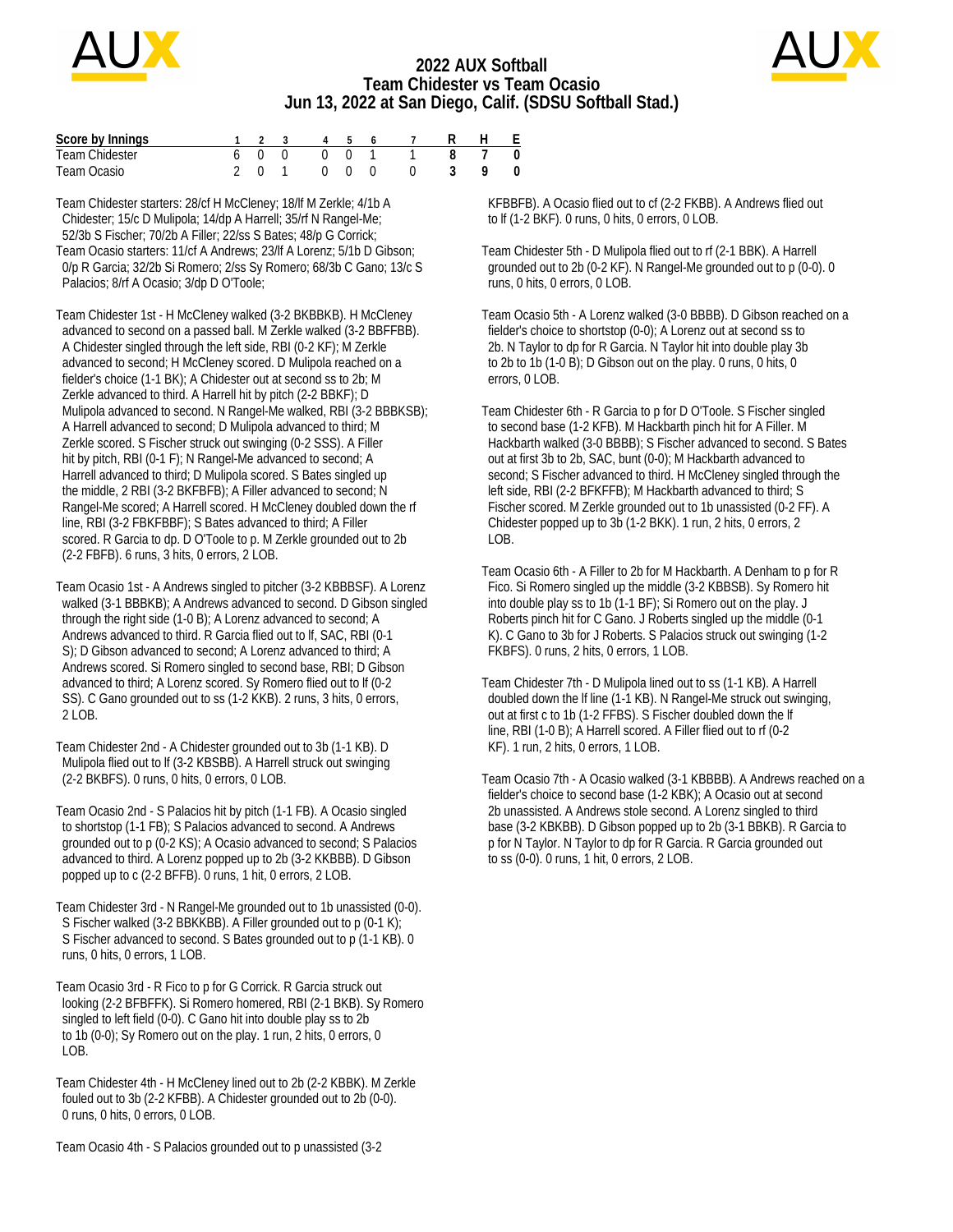

## **2022 AUX Softball Team Chidester vs Team Ocasio Jun 13, 2022 at San Diego, Calif. (SDSU Softball Stad.)**



| Score by Innings |  |                                                    |  | 4 5 6 7 |  | - F                |
|------------------|--|----------------------------------------------------|--|---------|--|--------------------|
| Team Chidester   |  | 600 001                                            |  |         |  | $\hspace{0.1cm} 0$ |
| Team Ocasio      |  | $\begin{array}{ccc} & & \circ & \circ \end{array}$ |  |         |  | $\overline{0}$     |

Team Chidester starters: 28/cf H McCleney; 18/lf M Zerkle; 4/1b A Chidester; 15/c D Mulipola; 14/dp A Harrell; 35/rf N Rangel-Me; 52/3b S Fischer; 70/2b A Filler; 22/ss S Bates; 48/p G Corrick; Team Ocasio starters: 11/cf A Andrews; 23/lf A Lorenz; 5/1b D Gibson; 0/p R Garcia; 32/2b Si Romero; 2/ss Sy Romero; 68/3b C Gano; 13/c S Palacios; 8/rf A Ocasio; 3/dp D O'Toole;

Team Chidester 1st - H McCleney walked (3-2 BKBBKB). H McCleney advanced to second on a passed ball. M Zerkle walked (3-2 BBFFBB). A Chidester singled through the left side, RBI (0-2 KF); M Zerkle advanced to second; H McCleney scored. D Mulipola reached on a fielder's choice (1-1 BK); A Chidester out at second ss to 2b; M Zerkle advanced to third. A Harrell hit by pitch (2-2 BBKF); D Mulipola advanced to second. N Rangel-Me walked, RBI (3-2 BBBKSB); A Harrell advanced to second; D Mulipola advanced to third; M Zerkle scored. S Fischer struck out swinging (0-2 SSS). A Filler hit by pitch, RBI (0-1 F); N Rangel-Me advanced to second; A Harrell advanced to third; D Mulipola scored. S Bates singled up the middle, 2 RBI (3-2 BKFBFB); A Filler advanced to second; N Rangel-Me scored; A Harrell scored. H McCleney doubled down the rf line, RBI (3-2 FBKFBBF); S Bates advanced to third; A Filler scored. R Garcia to dp. D O'Toole to p. M Zerkle grounded out to 2b (2-2 FBFB). 6 runs, 3 hits, 0 errors, 2 LOB.

Team Ocasio 1st - A Andrews singled to pitcher (3-2 KBBBSF). A Lorenz walked (3-1 BBBKB); A Andrews advanced to second. D Gibson singled through the right side (1-0 B); A Lorenz advanced to second; A Andrews advanced to third. R Garcia flied out to lf, SAC, RBI (0-1 S); D Gibson advanced to second; A Lorenz advanced to third; A Andrews scored. Si Romero singled to second base, RBI; D Gibson advanced to third; A Lorenz scored. Sy Romero flied out to lf (0-2 SS). C Gano grounded out to ss (1-2 KKB). 2 runs, 3 hits, 0 errors, 2 LOB.

Team Chidester 2nd - A Chidester grounded out to 3b (1-1 KB). D Mulipola flied out to lf (3-2 KBSBB). A Harrell struck out swinging (2-2 BKBFS). 0 runs, 0 hits, 0 errors, 0 LOB.

Team Ocasio 2nd - S Palacios hit by pitch (1-1 FB). A Ocasio singled to shortstop (1-1 FB); S Palacios advanced to second. A Andrews grounded out to p (0-2 KS); A Ocasio advanced to second; S Palacios advanced to third. A Lorenz popped up to 2b (3-2 KKBBB). D Gibson popped up to c (2-2 BFFB). 0 runs, 1 hit, 0 errors, 2 LOB.

Team Chidester 3rd - N Rangel-Me grounded out to 1b unassisted (0-0). S Fischer walked (3-2 BBKKBB). A Filler grounded out to p (0-1 K); S Fischer advanced to second. S Bates grounded out to p (1-1 KB). 0 runs, 0 hits, 0 errors, 1 LOB.

Team Ocasio 3rd - R Fico to p for G Corrick. R Garcia struck out looking (2-2 BFBFFK). Si Romero homered, RBI (2-1 BKB). Sy Romero singled to left field (0-0). C Gano hit into double play ss to 2b to 1b (0-0); Sy Romero out on the play. 1 run, 2 hits, 0 errors, 0 LOB.

Team Chidester 4th - H McCleney lined out to 2b (2-2 KBBK). M Zerkle fouled out to 3b (2-2 KFBB). A Chidester grounded out to 2b (0-0). 0 runs, 0 hits, 0 errors, 0 LOB.

 KFBBFB). A Ocasio flied out to cf (2-2 FKBB). A Andrews flied out to lf (1-2 BKF). 0 runs, 0 hits, 0 errors, 0 LOB.

Team Chidester 5th - D Mulipola flied out to rf (2-1 BBK). A Harrell grounded out to 2b (0-2 KF). N Rangel-Me grounded out to p (0-0). 0 runs, 0 hits, 0 errors, 0 LOB.

Team Ocasio 5th - A Lorenz walked (3-0 BBBB). D Gibson reached on a fielder's choice to shortstop (0-0); A Lorenz out at second ss to 2b. N Taylor to dp for R Garcia. N Taylor hit into double play 3b to 2b to 1b (1-0 B); D Gibson out on the play. 0 runs, 0 hits, 0 errors, 0 LOB.

Team Chidester 6th - R Garcia to p for D O'Toole. S Fischer singled to second base (1-2 KFB). M Hackbarth pinch hit for A Filler. M Hackbarth walked (3-0 BBBB); S Fischer advanced to second. S Bates out at first 3b to 2b, SAC, bunt (0-0); M Hackbarth advanced to second; S Fischer advanced to third. H McCleney singled through the left side, RBI (2-2 BFKFFB); M Hackbarth advanced to third; S Fischer scored. M Zerkle grounded out to 1b unassisted (0-2 FF). A Chidester popped up to 3b (1-2 BKK). 1 run, 2 hits, 0 errors, 2 LOB.

Team Ocasio 6th - A Filler to 2b for M Hackbarth. A Denham to p for R Fico. Si Romero singled up the middle (3-2 KBBSB). Sy Romero hit into double play ss to 1b (1-1 BF); Si Romero out on the play. J Roberts pinch hit for C Gano. J Roberts singled up the middle (0-1 K). C Gano to 3b for J Roberts. S Palacios struck out swinging (1-2 FKBFS). 0 runs, 2 hits, 0 errors, 1 LOB.

Team Chidester 7th - D Mulipola lined out to ss (1-1 KB). A Harrell doubled down the lf line (1-1 KB). N Rangel-Me struck out swinging, out at first c to 1b (1-2 FFBS). S Fischer doubled down the lf line, RBI (1-0 B); A Harrell scored. A Filler flied out to rf (0-2 KF). 1 run, 2 hits, 0 errors, 1 LOB.

Team Ocasio 7th - A Ocasio walked (3-1 KBBBB). A Andrews reached on a fielder's choice to second base (1-2 KBK); A Ocasio out at second 2b unassisted. A Andrews stole second. A Lorenz singled to third base (3-2 KBKBB). D Gibson popped up to 2b (3-1 BBKB). R Garcia to p for N Taylor. N Taylor to dp for R Garcia. R Garcia grounded out to ss (0-0). 0 runs, 1 hit, 0 errors, 2 LOB.

Team Ocasio 4th - S Palacios grounded out to p unassisted (3-2